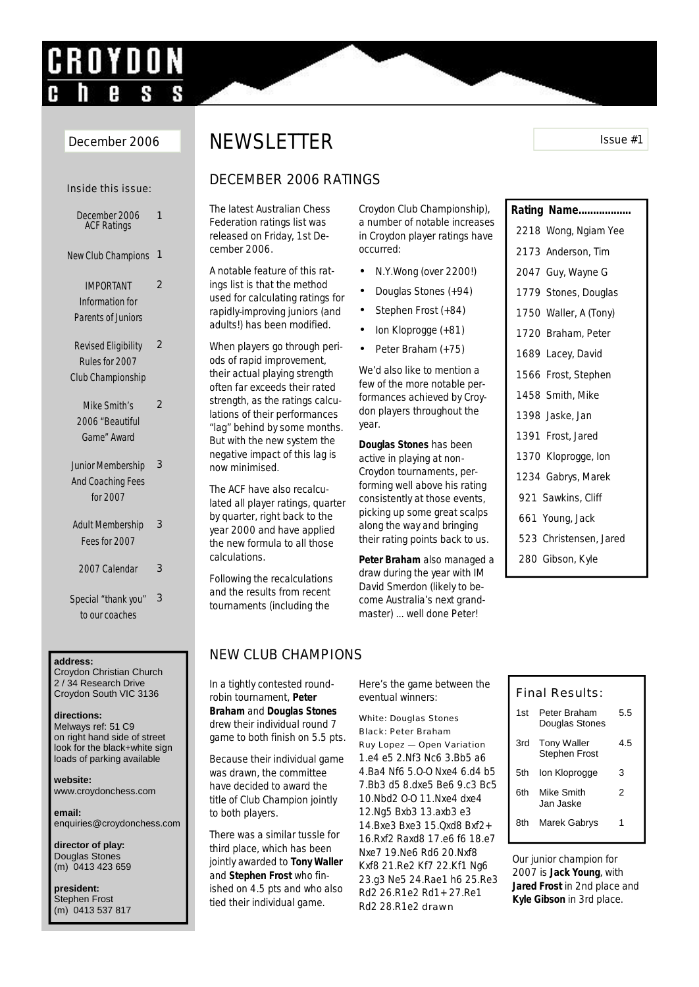# CROYDON

#### Inside this issue: December 2006 ACF Ratings 1 New Club Champions 1 IMPORTANT Information for Parents of Juniors  $\overline{2}$ Revised Eligibility Rules for 2007 Club Championship 2 Mike Smith's 2

- 2006 "Beautiful Game" Award
- Junior Membership And Coaching Fees for 2007 3
- Adult Membership Fees for 2007 3
- 2007 Calendar 3
- Special "thank you" to our coaches 3

#### **address:**

Croydon Christian Church 2 / 34 Research Drive Croydon South VIC 3136

#### **directions:**

Melways ref: 51 C9 on right hand side of street look for the black+white sign loads of parking available

**website:** www.croydonchess.com

**email:** enquiries@croydonchess.com

**director of play:** Douglas Stones (m) 0413 423 659

**president:** Stephen Frost (m) 0413 537 817

# December 2006 NEWSLETTER ISSue #1

#### DECEMBER 2006 RATINGS

The latest Australian Chess Federation ratings list was released on Friday, 1st December 2006.

A notable feature of this ratings list is that the method used for calculating ratings for rapidly-improving juniors (and adults!) has been modified.

When players go through periods of rapid improvement, their actual playing strength often far exceeds their rated strength, as the ratings calculations of their performances "lag" behind by some months. But with the new system the negative impact of this lag is now minimised.

The ACF have also recalculated all player ratings, quarter by quarter, right back to the year 2000 and have applied the new formula to all those calculations.

Following the recalculations and the results from recent tournaments (including the

Croydon Club Championship), a number of notable increases in Croydon player ratings have occurred:

- N.Y.Wong (over 2200!)
- Douglas Stones (+94)
- Stephen Frost (+84)
- Ion Kloprogge (+81)
- Peter Braham (+75)

We'd also like to mention a few of the more notable performances achieved by Croydon players throughout the year.

**Douglas Stones** has been active in playing at non-Croydon tournaments, performing well above his rating consistently at those events, picking up some great scalps along the way and bringing their rating points back to us.

**Peter Braham** also managed a draw during the year with IM David Smerdon (likely to become Australia's next grandmaster) ... well done Peter!

### NEW CLUB CHAMPIONS

In a tightly contested roundrobin tournament, **Peter Braham** and **Douglas Stones**  drew their individual round 7 game to both finish on 5.5 pts.

Because their individual game was drawn, the committee have decided to award the title of Club Champion jointly to both players.

There was a similar tussle for third place, which has been jointly awarded to **Tony Waller** and **Stephen Frost** who finished on 4.5 pts and who also tied their individual game.

Here's the game between the eventual winners:

#### White: Douglas Stones Black: Peter Braham Ruy Lopez — Open Variation

1.e4 e5 2.Nf3 Nc6 3.Bb5 a6 4.Ba4 Nf6 5.O-O Nxe4 6.d4 b5 7.Bb3 d5 8.dxe5 Be6 9.c3 Bc5 10.Nbd2 O-O 11.Nxe4 dxe4 12.Ng5 Bxb3 13.axb3 e3 14.Bxe3 Bxe3 15.Qxd8 Bxf2+ 16.Rxf2 Raxd8 17.e6 f6 18.e7 Nxe7 19.Ne6 Rd6 20.Nxf8 Kxf8 21.Re2 Kf7 22.Kf1 Ng6 23.g3 Ne5 24.Rae1 h6 25.Re3 Rd2 26.R1e2 Rd1+ 27.Re1 Rd2 28.R1e2 drawn

## **Rating Name..................**

- 2218 Wong, Ngiam Yee
- 2173 Anderson, Tim
- 2047 Guy, Wayne G
- 1779 Stones, Douglas
- 1750 Waller, A (Tony)
- 1720 Braham, Peter
- 1689 Lacey, David
- 1566 Frost, Stephen
- 1458 Smith, Mike
- 1398 Jaske, Jan
- 1391 Frost, Jared
- 1370 Kloprogge, Ion
- 1234 Gabrys, Marek
- 921 Sawkins, Cliff
- 661 Young, Jack
- 523 Christensen, Jared
- 280 Gibson, Kyle

#### Final Results:

| 1st  | Peter Braham<br>Douglas Stones             | 5.5 |
|------|--------------------------------------------|-----|
| 3rd  | <b>Tony Waller</b><br><b>Stephen Frost</b> | 4.5 |
| .5th | Ion Kloprogge                              | 3   |
| 6th  | Mike Smith<br>Jan Jaske                    | 2   |
| 8th  | Marek Gabrys                               |     |

Our junior champion for 2007 is **Jack Young**, with **Jared Frost** in 2nd place and **Kyle Gibson** in 3rd place.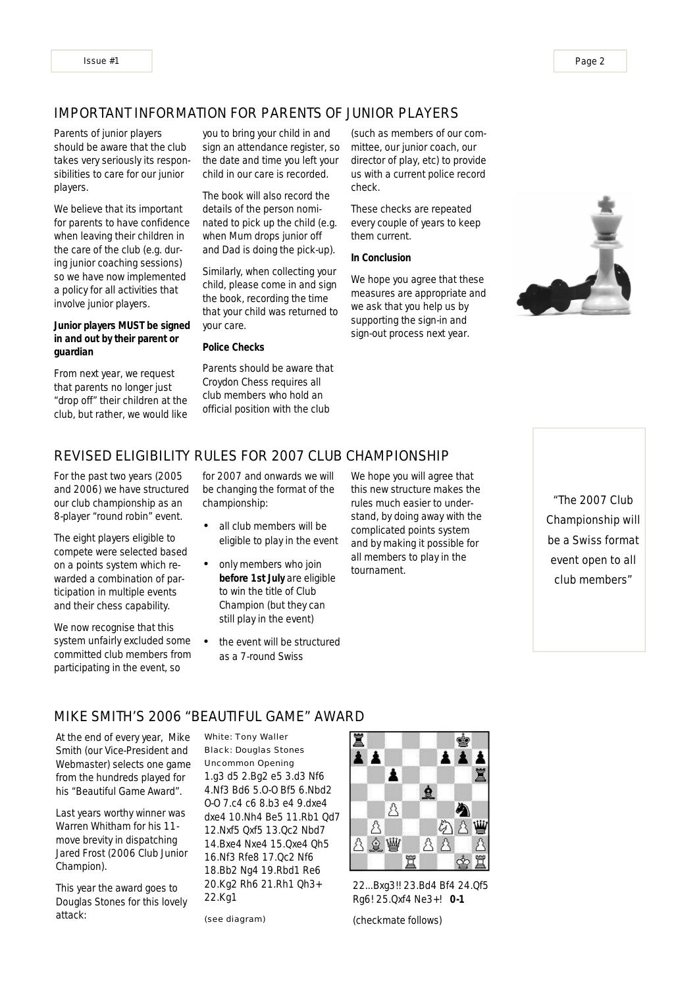#### IMPORTANT INFORMATION FOR PARENTS OF JUNIOR PLAYERS

Parents of junior players should be aware that the club takes very seriously its responsibilities to care for our junior players.

We believe that its important for parents to have confidence when leaving their children in the care of the club (e.g. during junior coaching sessions) so we have now implemented a policy for all activities that involve junior players.

**Junior players MUST be signed in and out by their parent or guardian**

From next year, we request that parents no longer just "drop off" their children at the club, but rather, we would like you to bring your child in and sign an attendance register, so the date and time you left your child in our care is recorded.

The book will also record the details of the person nominated to pick up the child (e.g. when Mum drops junior off and Dad is doing the pick-up).

Similarly, when collecting your child, please come in and sign the book, recording the time that your child was returned to your care.

**Police Checks**

Parents should be aware that Croydon Chess requires all club members who hold an official position with the club

(such as members of our committee, our junior coach, our director of play, etc) to provide us with a current police record check.

These checks are repeated every couple of years to keep them current.

**In Conclusion**

We hope you agree that these measures are appropriate and we ask that you help us by supporting the sign-in and sign-out process next year.



#### REVISED ELIGIBILITY RULES FOR 2007 CLUB CHAMPIONSHIP

For the past two years (2005 and 2006) we have structured our club championship as an 8-player "round robin" event.

The eight players eligible to compete were selected based on a points system which rewarded a combination of participation in multiple events and their chess capability.

We now recognise that this system unfairly excluded some committed club members from participating in the event, so

for 2007 and onwards we will be changing the format of the championship:

- all club members will be eligible to play in the event
- only members who join **before 1st July** are eligible to win the title of Club Champion (but they can still play in the event)
- the event will be structured as a 7-round Swiss

We hope you will agree that this new structure makes the rules much easier to understand, by doing away with the complicated points system and by making it possible for all members to play in the tournament.

"The 2007 Club Championship will be a Swiss format event open to all club members"

#### MIKE SMITH'S 2006 "BEAUTIFUL GAME" AWARD

At the end of every year, Mike Smith (our Vice-President and Webmaster) selects one game from the hundreds played for his "Beautiful Game Award".

Last years worthy winner was Warren Whitham for his 11 move brevity in dispatching Jared Frost (2006 Club Junior Champion).

This year the award goes to Douglas Stones for this lovely attack:

#### White: Tony Waller Black: Douglas Stones Uncommon Opening

1.g3 d5 2.Bg2 e5 3.d3 Nf6 4.Nf3 Bd6 5.O-O Bf5 6.Nbd2 O-O 7.c4 c6 8.b3 e4 9.dxe4 dxe4 10.Nh4 Be5 11.Rb1 Qd7 12.Nxf5 Qxf5 13.Qc2 Nbd7 14.Bxe4 Nxe4 15.Qxe4 Qh5 16.Nf3 Rfe8 17.Qc2 Nf6 18.Bb2 Ng4 19.Rbd1 Re6 20.Kg2 Rh6 21.Rh1 Qh3+ 22.Kg1

(see diagram)



22...Bxg3!! 23.Bd4 Bf4 24.Qf5 Rg6! 25.Qxf4 Ne3+! **0-1**

(checkmate follows)